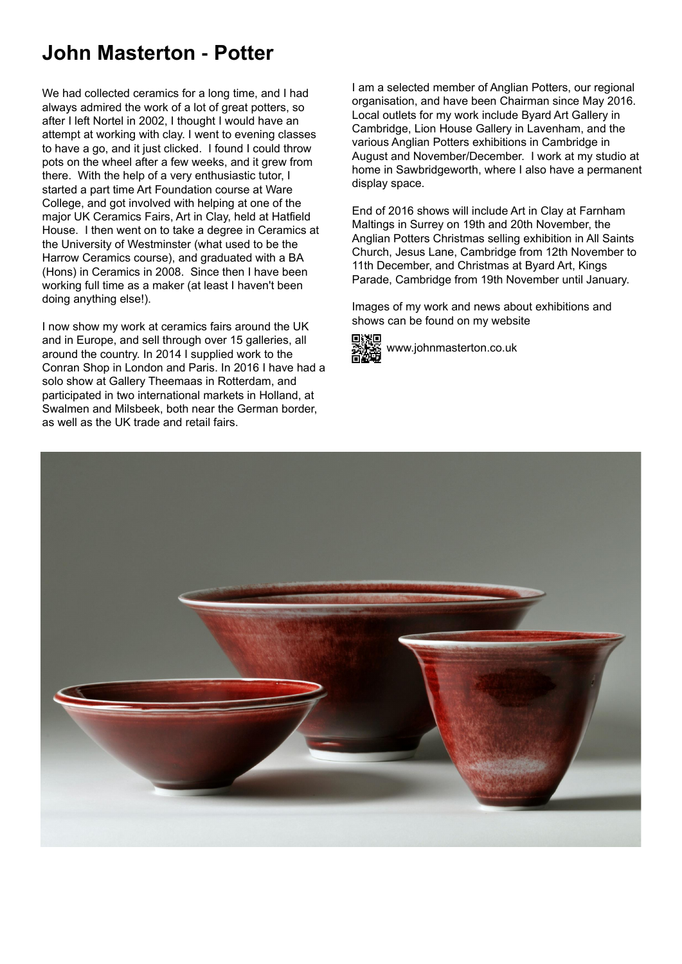## **John Masterton - Potter**

We had collected ceramics for a long time, and I had always admired the work of a lot of great potters, so after I left Nortel in 2002, I thought I would have an attempt at working with clay. I went to evening classes to have a go, and it just clicked. I found I could throw pots on the wheel after a few weeks, and it grew from there. With the help of a very enthusiastic tutor, I started a part time Art Foundation course at Ware College, and got involved with helping at one of the major UK Ceramics Fairs, Art in Clay, held at Hatfield House. I then went on to take a degree in Ceramics at the University of Westminster (what used to be the Harrow Ceramics course), and graduated with a BA (Hons) in Ceramics in 2008. Since then I have been working full time as a maker (at least I haven't been doing anything else!).

I now show my work at ceramics fairs around the UK and in Europe, and sell through over 15 galleries, all around the country. In 2014 I supplied work to the Conran Shop in London and Paris. In 2016 I have had a solo show at Gallery Theemaas in Rotterdam, and participated in two international markets in Holland, at Swalmen and Milsbeek, both near the German border, as well as the UK trade and retail fairs.

I am a selected member of Anglian Potters, our regional organisation, and have been Chairman since May 2016. Local outlets for my work include Byard Art Gallery in Cambridge, Lion House Gallery in Lavenham, and the various Anglian Potters exhibitions in Cambridge in August and November/December. I work at my studio at home in Sawbridgeworth, where I also have a permanent display space.

End of 2016 shows will include Art in Clay at Farnham Maltings in Surrey on 19th and 20th November, the Anglian Potters Christmas selling exhibition in All Saints Church, Jesus Lane, Cambridge from 12th November to 11th December, and Christmas at Byard Art, Kings Parade, Cambridge from 19th November until January.

Images of my work and news about exhibitions and shows can be found on my website



www.johnmasterton.co.uk